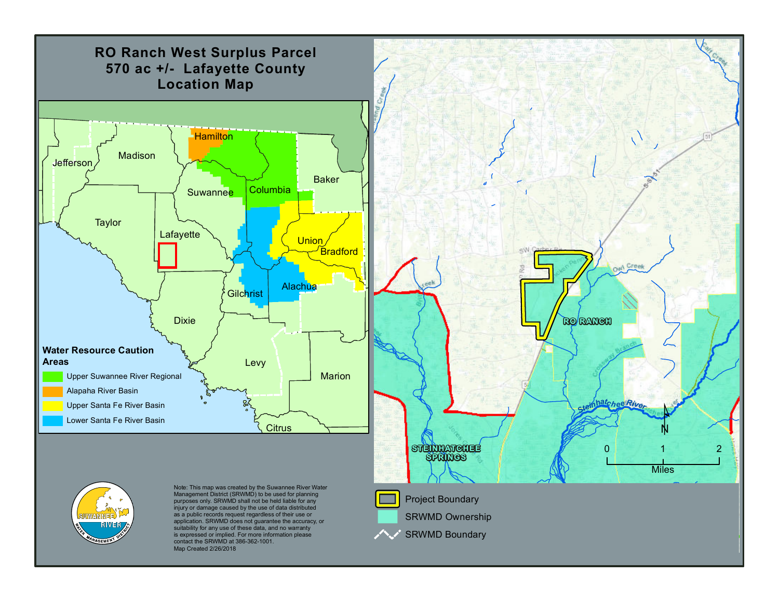